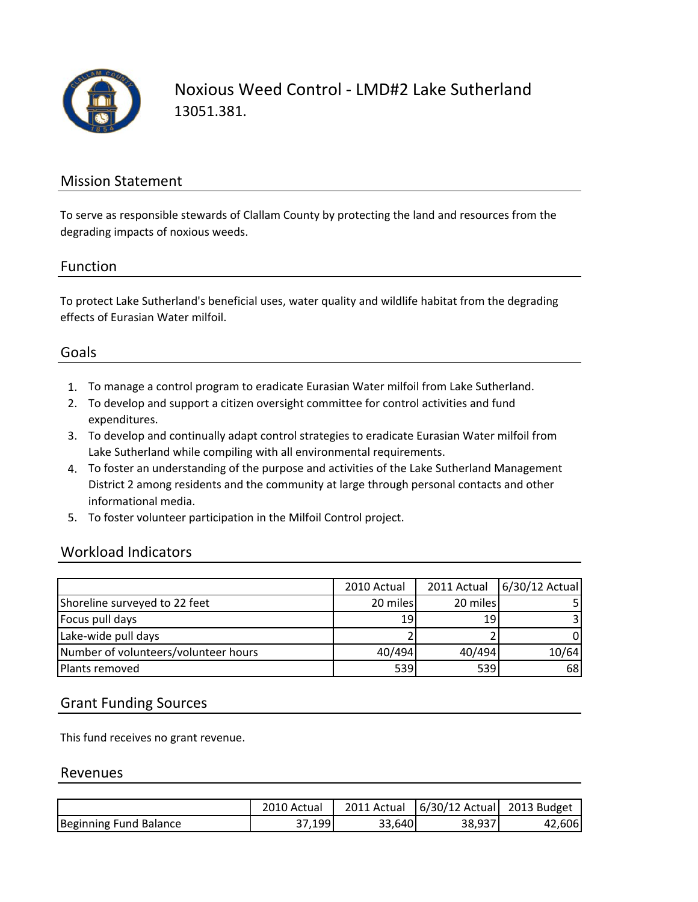

Noxious Weed Control ‐ LMD#2 Lake Sutherland 13051.381.

#### Mission Statement

To serve as responsible stewards of Clallam County by protecting the land and resources from the degrading impacts of noxious weeds.

#### Function

To protect Lake Sutherland's beneficial uses, water quality and wildlife habitat from the degrading effects of Eurasian Water milfoil.

#### Goals

- 1. To manage a control program to eradicate Eurasian Water milfoil from Lake Sutherland.
- 2. To develop and support a citizen oversight committee for control activities and fund expenditures.
- 3. To develop and continually adapt control strategies to eradicate Eurasian Water milfoil from Lake Sutherland while compiling with all environmental requirements.
- 4. To foster an understanding of the purpose and activities of the Lake Sutherland Management District 2 among residents and the community at large through personal contacts and other informational media.
- 5. To foster volunteer participation in the Milfoil Control project.

#### Workload Indicators

|                                      | 2010 Actual | 2011 Actual | 6/30/12 Actual |
|--------------------------------------|-------------|-------------|----------------|
| Shoreline surveyed to 22 feet        | 20 miles    | 20 miles    |                |
| Focus pull days                      | 19          | 19          |                |
| Lake-wide pull days                  |             |             | 0              |
| Number of volunteers/volunteer hours | 40/494      | 40/494      | 10/64          |
| Plants removed                       | 539         | 539         | 68 I           |

### Grant Funding Sources

This fund receives no grant revenue.

#### Revenues

|                        | 2010 Actual | 2011 Actual | 6/30/12 Actual | 2013 Budget |
|------------------------|-------------|-------------|----------------|-------------|
| Beginning Fund Balance | .199        | 33.640      | 38,937         | 42,606      |